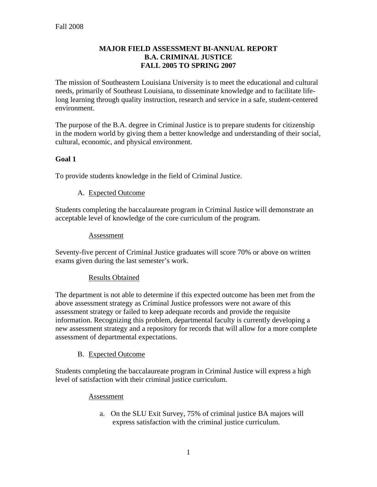#### **MAJOR FIELD ASSESSMENT BI-ANNUAL REPORT B.A. CRIMINAL JUSTICE FALL 2005 TO SPRING 2007**

The mission of Southeastern Louisiana University is to meet the educational and cultural needs, primarily of Southeast Louisiana, to disseminate knowledge and to facilitate lifelong learning through quality instruction, research and service in a safe, student-centered environment.

The purpose of the B.A. degree in Criminal Justice is to prepare students for citizenship in the modern world by giving them a better knowledge and understanding of their social, cultural, economic, and physical environment.

## **Goal 1**

To provide students knowledge in the field of Criminal Justice.

## A. Expected Outcome

Students completing the baccalaureate program in Criminal Justice will demonstrate an acceptable level of knowledge of the core curriculum of the program.

#### Assessment

Seventy-five percent of Criminal Justice graduates will score 70% or above on written exams given during the last semester's work.

## Results Obtained

The department is not able to determine if this expected outcome has been met from the above assessment strategy as Criminal Justice professors were not aware of this assessment strategy or failed to keep adequate records and provide the requisite information. Recognizing this problem, departmental faculty is currently developing a new assessment strategy and a repository for records that will allow for a more complete assessment of departmental expectations.

## B. Expected Outcome

Students completing the baccalaureate program in Criminal Justice will express a high level of satisfaction with their criminal justice curriculum.

#### Assessment

a. On the SLU Exit Survey, 75% of criminal justice BA majors will express satisfaction with the criminal justice curriculum.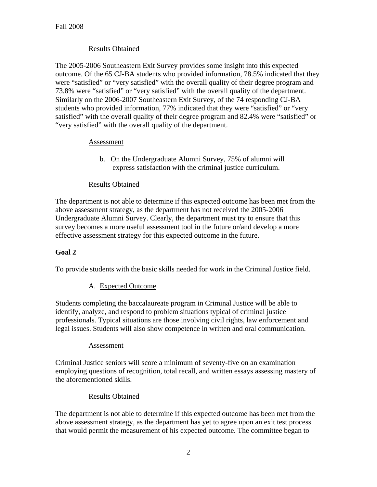## Results Obtained

The 2005-2006 Southeastern Exit Survey provides some insight into this expected outcome. Of the 65 CJ-BA students who provided information, 78.5% indicated that they were "satisfied" or "very satisfied" with the overall quality of their degree program and 73.8% were "satisfied" or "very satisfied" with the overall quality of the department. Similarly on the 2006-2007 Southeastern Exit Survey, of the 74 responding CJ-BA students who provided information, 77% indicated that they were "satisfied" or "very satisfied" with the overall quality of their degree program and 82.4% were "satisfied" or "very satisfied" with the overall quality of the department.

## Assessment

b. On the Undergraduate Alumni Survey, 75% of alumni will express satisfaction with the criminal justice curriculum.

## Results Obtained

The department is not able to determine if this expected outcome has been met from the above assessment strategy, as the department has not received the 2005-2006 Undergraduate Alumni Survey. Clearly, the department must try to ensure that this survey becomes a more useful assessment tool in the future or/and develop a more effective assessment strategy for this expected outcome in the future.

## **Goal 2**

To provide students with the basic skills needed for work in the Criminal Justice field.

## A. Expected Outcome

Students completing the baccalaureate program in Criminal Justice will be able to identify, analyze, and respond to problem situations typical of criminal justice professionals. Typical situations are those involving civil rights, law enforcement and legal issues. Students will also show competence in written and oral communication.

#### Assessment

Criminal Justice seniors will score a minimum of seventy-five on an examination employing questions of recognition, total recall, and written essays assessing mastery of the aforementioned skills.

#### Results Obtained

The department is not able to determine if this expected outcome has been met from the above assessment strategy, as the department has yet to agree upon an exit test process that would permit the measurement of his expected outcome. The committee began to